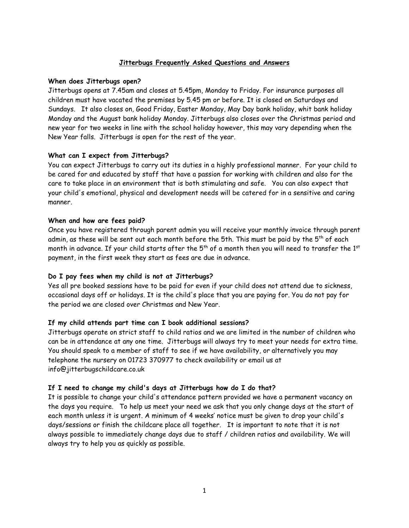# **Jitterbugs Frequently Asked Questions and Answers**

### **When does Jitterbugs open?**

Jitterbugs opens at 7.45am and closes at 5.45pm, Monday to Friday. For insurance purposes all children must have vacated the premises by 5.45 pm or before. It is closed on Saturdays and Sundays. It also closes on, Good Friday, Easter Monday, May Day bank holiday, whit bank holiday Monday and the August bank holiday Monday. Jitterbugs also closes over the Christmas period and new year for two weeks in line with the school holiday however, this may vary depending when the New Year falls. Jitterbugs is open for the rest of the year.

## **What can I expect from Jitterbugs?**

You can expect Jitterbugs to carry out its duties in a highly professional manner. For your child to be cared for and educated by staff that have a passion for working with children and also for the care to take place in an environment that is both stimulating and safe. You can also expect that your child's emotional, physical and development needs will be catered for in a sensitive and caring manner.

## **When and how are fees paid?**

Once you have registered through parent admin you will receive your monthly invoice through parent admin, as these will be sent out each month before the 5th. This must be paid by the 5<sup>th</sup> of each month in advance. If your child starts after the  $5^{\mathsf{th}}$  of a month then you will need to transfer the  $1^{\mathsf{st}}$ payment, in the first week they start as fees are due in advance.

## **Do I pay fees when my child is not at Jitterbugs?**

Yes all pre booked sessions have to be paid for even if your child does not attend due to sickness, occasional days off or holidays. It is the child's place that you are paying for. You do not pay for the period we are closed over Christmas and New Year.

## **If my child attends part time can I book additionalsessions?**

Jitterbugs operate on strict staff to child ratios and we are limited in the number of children who can be in attendance at any one time. Jitterbugs will always try to meet your needs for extra time. You should speak to a member of staff to see if we have availability, or alternatively you may telephone the nursery on 01723 370977 to check availability or email us at info@jitterbugschildcare.co.uk

## **If I need to change my child's days at Jitterbugs how do I do that?**

It is possible to change your child's attendance pattern provided we have a permanent vacancy on the days you require. To help us meet your need we ask that you only change days at the start of each month unless it is urgent. A minimum of 4 weeks' notice must be given to drop your child's days/sessions or finish the childcare place all together. It is important to note that it is not always possible to immediately change days due to staff / children ratios and availability. We will always try to help you as quickly as possible.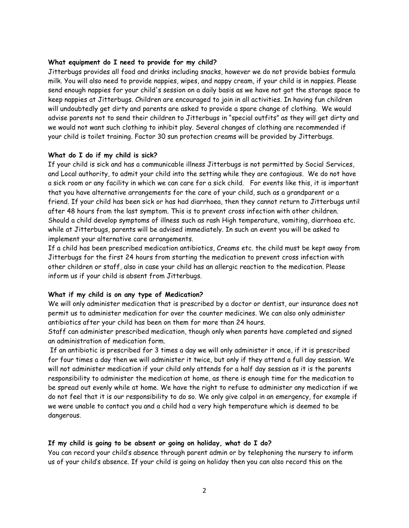#### **What equipment do I need to provide for my child?**

Jitterbugs provides all food and drinks including snacks, however we do not provide babies formula milk. You will also need to provide nappies, wipes, and nappy cream, if your child is in nappies. Please send enough nappies for your child's session on a daily basis as we have not got the storage space to keep nappies at Jitterbugs. Children are encouraged to join in all activities. In having fun children will undoubtedly get dirty and parents are asked to provide a spare change of clothing. We would advise parents not to send their children to Jitterbugs in "special outfits" as they will get dirty and we would not want such clothing to inhibit play. Several changes of clothing are recommended if your child is toilet training. Factor 30 sun protection creams will be provided by Jitterbugs.

### **What do I do if my child is sick?**

If your child is sick and has a communicable illness Jitterbugs is not permitted by Social Services, and Local authority, to admit your child into the setting while they are contagious. We do not have a sick room or any facility in which we can care for a sick child. For events like this, it is important that you have alternative arrangements for the care of your child, such as a grandparent or a friend. If your child has been sick or has had diarrhoea, then they cannot return to Jitterbugs until after 48 hours from the last symptom. This is to prevent cross infection with other children.<br>Should a child develop symptoms of illness such as rash High temperature, vomiting, diarrhoea etc. while at Jitterbugs, parents will be advised immediately. In such an event you will be asked to implement your alternative care arrangements.

If a child has been prescribed medication antibiotics, Creams etc. the child must be kept away from Jitterbugs for the first 24 hours from starting the medication to prevent cross infection with other children or staff, also in case your child has an allergic reaction to the medication. Please inform us if your child is absent from Jitterbugs.

#### **What if my child is on any type of Medication?**

We will only administer medication that is prescribed by a doctor or dentist, our insurance does not permit us to administer medication for over the counter medicines. We can also only administer antibiotics after your child has been on them for more than 24 hours.

Staff can administer prescribed medication, though only when parents have completed and signed an administration of medication form.

If an antibiotic is prescribed for 3 times a day we will only administer it once, if it is prescribed for four times a day then we will administer it twice, but only if they attend a full day session. We will not administer medication if your child only attends for a half day session as it is the parents responsibility to administer the medication at home, as there is enough time for the medication to be spread out evenly while at home. We have the right to refuse to administer any medication if we do not feel that it is our responsibility to do so. We only give calpol in an emergency, for example if we were unable to contact you and a child had a very high temperature which is deemed to be dangerous.

## **If my child is going to be absent or going on holiday, what do I do?**

You can record your child's absence through parent admin or by telephoning the nursery to inform us of your child's absence. If your child is going on holiday then you can also record this on the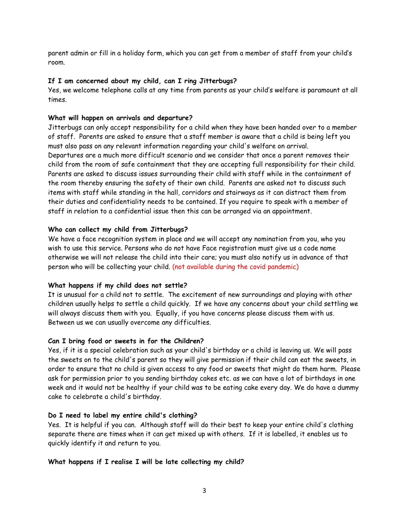parent admin or fill in a holiday form, which you can get from a member of staff from your child's room.

### **If I am concerned about my child, can I ring Jitterbugs?**

Yes, we welcome telephone calls at any time from parents as your child's welfare is paramount at all times.

### **What will happen on arrivals and departure?**

Jitterbugs can only accept responsibility for a child when they have been handed over to a member of staff. Parents are asked to ensure that a staff member is aware that a child is being left you must also pass on any relevant information regarding your child's welfare on arrival. Departures are a much more difficult scenario and we consider that once a parent removes their child from the room of safe containment that they are accepting full responsibility for their child. Parents are asked to discuss issues surrounding their child with staff while in the containment of the room thereby ensuring the safety of their own child. Parents are asked not to discuss such items with staff while standing in the hall, corridors and stairways as it can distract them from their duties and confidentiality needs to be contained. If you require to speak with a member of staff in relation to a confidential issue then this can be arranged via an appointment.

### **Who can collect my child from Jitterbugs?**

We have a face recognition system in place and we will accept any nomination from you, who you wish to use this service. Persons who do not have Face registration must give us a code name otherwise we will not release the child into their care; you must also notify us in advance of that person who will be collecting your child. (not available during the covid pandemic)

#### **What happens if my child does not settle?**

It is unusual for a child not to settle. The excitement of new surroundings and playing with other children usually helps to settle a child quickly. If we have any concerns about your child settling we will always discuss them with you. Equally, if you have concerns please discuss them with us. Between us we can usually overcome any difficulties.

### **Can I bring food or sweets in for the Children?**

Yes, if it is a special celebration such as your child's birthday or a child is leaving us. We will pass the sweets on to the child's parent so they will give permission if their child can eat the sweets, in order to ensure that no child is given access to any food or sweets that might do them harm. Please ask for permission prior to you sending birthday cakes etc. as we can have a lot of birthdays in one week and it would not be healthy if your child wasto be eating cake every day. We do have a dummy cake to celebrate a child's birthday.

#### **Do I need to label my entire child's clothing?**

Yes. It is helpful if you can. Although staff will do their best to keep your entire child's clothing separate there are times when it can get mixed up with others. If it is labelled, it enables us to quickly identify it and return to you.

### **What happens if I realise I will be late collecting my child?**